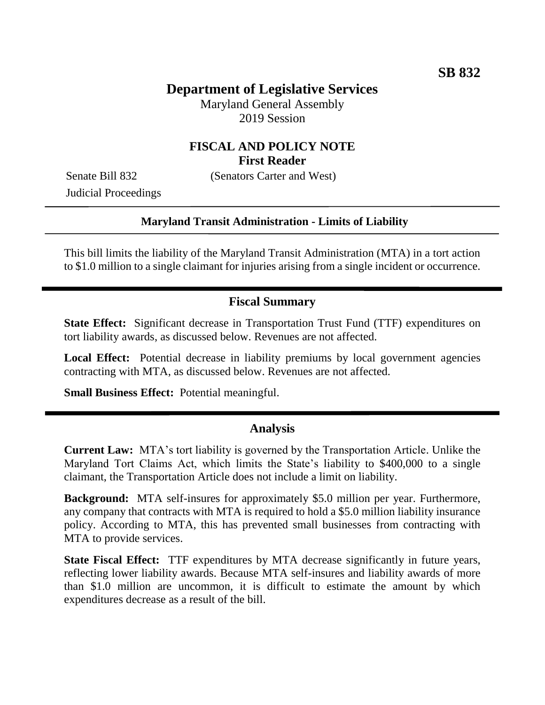# **Department of Legislative Services**

Maryland General Assembly 2019 Session

## **FISCAL AND POLICY NOTE First Reader**

Senate Bill 832 (Senators Carter and West)

Judicial Proceedings

### **Maryland Transit Administration - Limits of Liability**

This bill limits the liability of the Maryland Transit Administration (MTA) in a tort action to \$1.0 million to a single claimant for injuries arising from a single incident or occurrence.

### **Fiscal Summary**

**State Effect:** Significant decrease in Transportation Trust Fund (TTF) expenditures on tort liability awards, as discussed below. Revenues are not affected.

**Local Effect:** Potential decrease in liability premiums by local government agencies contracting with MTA, as discussed below. Revenues are not affected.

**Small Business Effect:** Potential meaningful.

### **Analysis**

**Current Law:** MTA's tort liability is governed by the Transportation Article. Unlike the Maryland Tort Claims Act, which limits the State's liability to \$400,000 to a single claimant, the Transportation Article does not include a limit on liability.

**Background:** MTA self-insures for approximately \$5.0 million per year. Furthermore, any company that contracts with MTA is required to hold a \$5.0 million liability insurance policy. According to MTA, this has prevented small businesses from contracting with MTA to provide services.

**State Fiscal Effect:** TTF expenditures by MTA decrease significantly in future years, reflecting lower liability awards. Because MTA self-insures and liability awards of more than \$1.0 million are uncommon, it is difficult to estimate the amount by which expenditures decrease as a result of the bill.